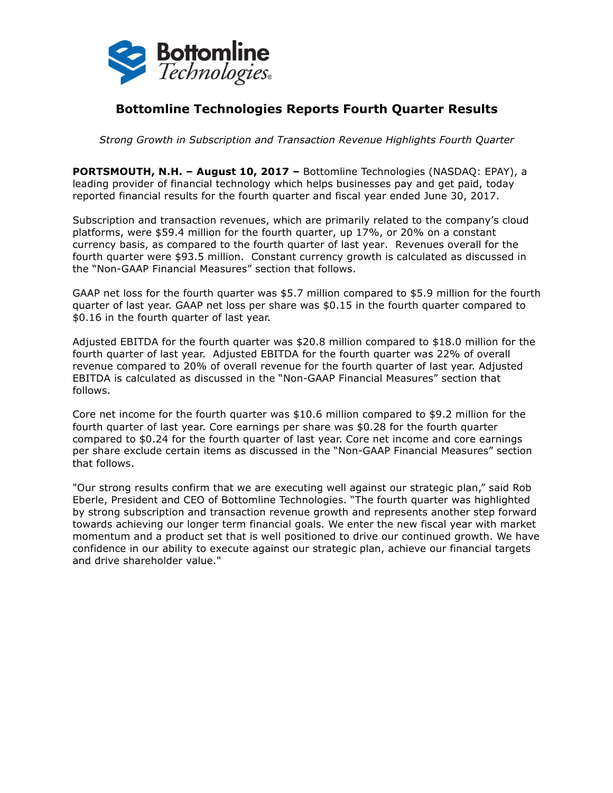

# **Bottomline Technologies Reports Fourth Quarter Results**

*Strong Growth in Subscription and Transaction Revenue Highlights Fourth Quarter*

**PORTSMOUTH, N.H. – August 10, 2017 –** Bottomline Technologies (NASDAQ: EPAY), a leading provider of financial technology which helps businesses pay and get paid, today reported financial results for the fourth quarter and fiscal year ended June 30, 2017.

Subscription and transaction revenues, which are primarily related to the company's cloud platforms, were \$59.4 million for the fourth quarter, up 17%, or 20% on a constant currency basis, as compared to the fourth quarter of last year. Revenues overall for the fourth quarter were \$93.5 million. Constant currency growth is calculated as discussed in the "Non-GAAP Financial Measures" section that follows.

GAAP net loss for the fourth quarter was \$5.7 million compared to \$5.9 million for the fourth quarter of last year. GAAP net loss per share was \$0.15 in the fourth quarter compared to \$0.16 in the fourth quarter of last year.

Adjusted EBITDA for the fourth quarter was \$20.8 million compared to \$18.0 million for the fourth quarter of last year. Adjusted EBITDA for the fourth quarter was 22% of overall revenue compared to 20% of overall revenue for the fourth quarter of last year. Adjusted EBITDA is calculated as discussed in the "Non-GAAP Financial Measures" section that follows.

Core net income for the fourth quarter was \$10.6 million compared to \$9.2 million for the fourth quarter of last year. Core earnings per share was \$0.28 for the fourth quarter compared to \$0.24 for the fourth quarter of last year. Core net income and core earnings per share exclude certain items as discussed in the "Non-GAAP Financial Measures" section that follows.

"Our strong results confirm that we are executing well against our strategic plan," said Rob Eberle, President and CEO of Bottomline Technologies. "The fourth quarter was highlighted by strong subscription and transaction revenue growth and represents another step forward towards achieving our longer term financial goals. We enter the new fiscal year with market momentum and a product set that is well positioned to drive our continued growth. We have confidence in our ability to execute against our strategic plan, achieve our financial targets and drive shareholder value."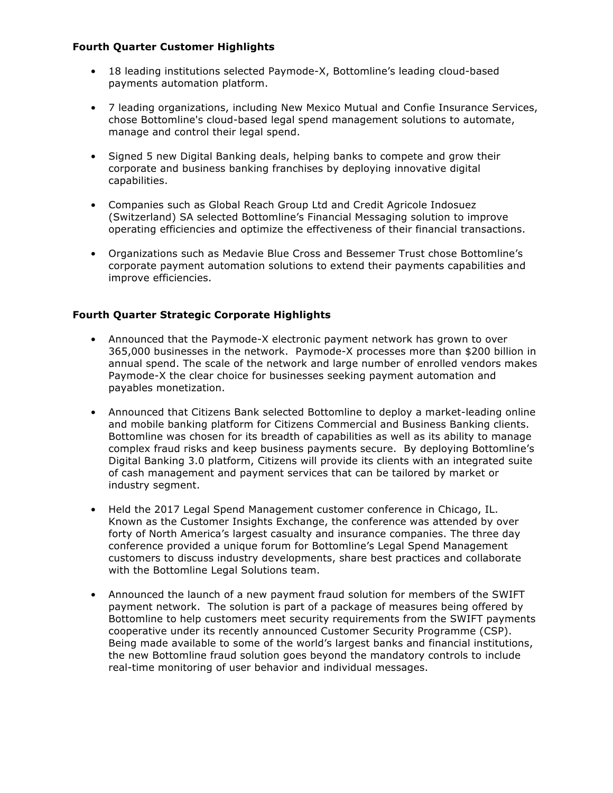## **Fourth Quarter Customer Highlights**

- 18 leading institutions selected Paymode-X, Bottomline's leading cloud-based payments automation platform.
- 7 leading organizations, including New Mexico Mutual and Confie Insurance Services, chose Bottomline's cloud-based legal spend management solutions to automate, manage and control their legal spend.
- Signed 5 new Digital Banking deals, helping banks to compete and grow their corporate and business banking franchises by deploying innovative digital capabilities.
- Companies such as Global Reach Group Ltd and Credit Agricole Indosuez (Switzerland) SA selected Bottomline's Financial Messaging solution to improve operating efficiencies and optimize the effectiveness of their financial transactions.
- Organizations such as Medavie Blue Cross and Bessemer Trust chose Bottomline's corporate payment automation solutions to extend their payments capabilities and improve efficiencies.

# **Fourth Quarter Strategic Corporate Highlights**

- Announced that the Paymode-X electronic payment network has grown to over 365,000 businesses in the network. Paymode-X processes more than \$200 billion in annual spend. The scale of the network and large number of enrolled vendors makes Paymode-X the clear choice for businesses seeking payment automation and payables monetization.
- Announced that Citizens Bank selected Bottomline to deploy a market-leading online and mobile banking platform for Citizens Commercial and Business Banking clients. Bottomline was chosen for its breadth of capabilities as well as its ability to manage complex fraud risks and keep business payments secure. By deploying Bottomline's Digital Banking 3.0 platform, Citizens will provide its clients with an integrated suite of cash management and payment services that can be tailored by market or industry segment.
- Held the 2017 Legal Spend Management customer conference in Chicago, IL. Known as the Customer Insights Exchange, the conference was attended by over forty of North America's largest casualty and insurance companies. The three day conference provided a unique forum for Bottomline's Legal Spend Management customers to discuss industry developments, share best practices and collaborate with the Bottomline Legal Solutions team.
- Announced the launch of a new payment fraud solution for members of the SWIFT payment network. The solution is part of a package of measures being offered by Bottomline to help customers meet security requirements from the SWIFT payments cooperative under its recently announced Customer Security Programme (CSP). Being made available to some of the world's largest banks and financial institutions, the new Bottomline fraud solution goes beyond the mandatory controls to include real-time monitoring of user behavior and individual messages.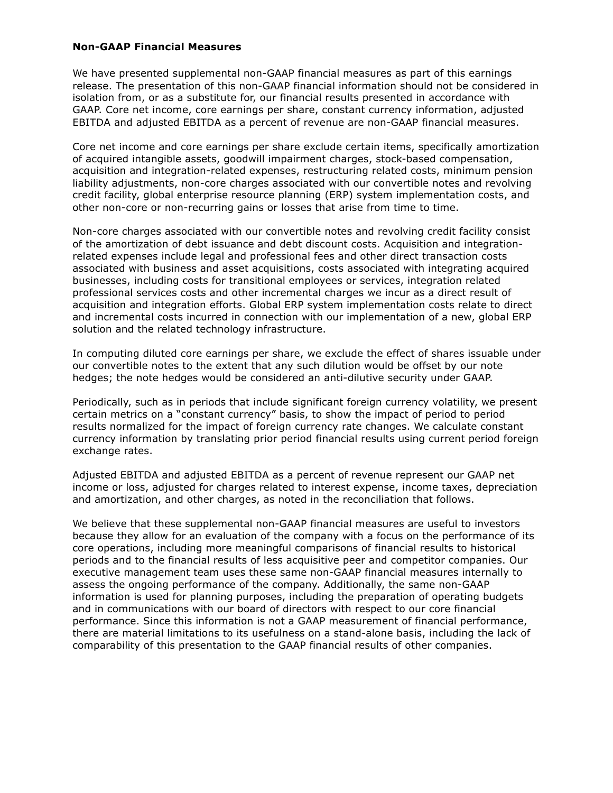### **Non-GAAP Financial Measures**

We have presented supplemental non-GAAP financial measures as part of this earnings release. The presentation of this non-GAAP financial information should not be considered in isolation from, or as a substitute for, our financial results presented in accordance with GAAP. Core net income, core earnings per share, constant currency information, adjusted EBITDA and adjusted EBITDA as a percent of revenue are non-GAAP financial measures.

Core net income and core earnings per share exclude certain items, specifically amortization of acquired intangible assets, goodwill impairment charges, stock-based compensation, acquisition and integration-related expenses, restructuring related costs, minimum pension liability adjustments, non-core charges associated with our convertible notes and revolving credit facility, global enterprise resource planning (ERP) system implementation costs, and other non-core or non-recurring gains or losses that arise from time to time.

Non-core charges associated with our convertible notes and revolving credit facility consist of the amortization of debt issuance and debt discount costs. Acquisition and integrationrelated expenses include legal and professional fees and other direct transaction costs associated with business and asset acquisitions, costs associated with integrating acquired businesses, including costs for transitional employees or services, integration related professional services costs and other incremental charges we incur as a direct result of acquisition and integration efforts. Global ERP system implementation costs relate to direct and incremental costs incurred in connection with our implementation of a new, global ERP solution and the related technology infrastructure.

In computing diluted core earnings per share, we exclude the effect of shares issuable under our convertible notes to the extent that any such dilution would be offset by our note hedges; the note hedges would be considered an anti-dilutive security under GAAP.

Periodically, such as in periods that include significant foreign currency volatility, we present certain metrics on a "constant currency" basis, to show the impact of period to period results normalized for the impact of foreign currency rate changes. We calculate constant currency information by translating prior period financial results using current period foreign exchange rates.

Adjusted EBITDA and adjusted EBITDA as a percent of revenue represent our GAAP net income or loss, adjusted for charges related to interest expense, income taxes, depreciation and amortization, and other charges, as noted in the reconciliation that follows.

We believe that these supplemental non-GAAP financial measures are useful to investors because they allow for an evaluation of the company with a focus on the performance of its core operations, including more meaningful comparisons of financial results to historical periods and to the financial results of less acquisitive peer and competitor companies. Our executive management team uses these same non-GAAP financial measures internally to assess the ongoing performance of the company. Additionally, the same non-GAAP information is used for planning purposes, including the preparation of operating budgets and in communications with our board of directors with respect to our core financial performance. Since this information is not a GAAP measurement of financial performance, there are material limitations to its usefulness on a stand-alone basis, including the lack of comparability of this presentation to the GAAP financial results of other companies.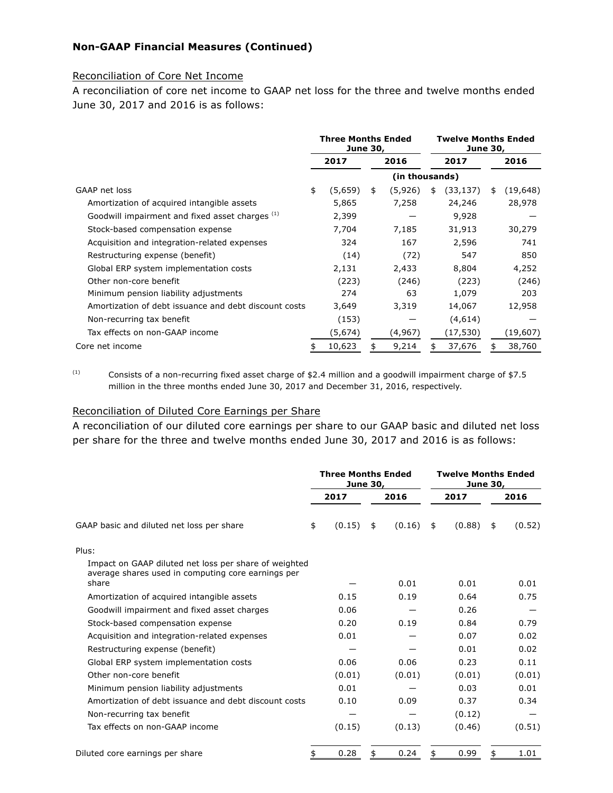# **Non-GAAP Financial Measures (Continued)**

### Reconciliation of Core Net Income

A reconciliation of core net income to GAAP net loss for the three and twelve months ended June 30, 2017 and 2016 is as follows:

|                                                       | <b>Three Months Ended</b><br>June 30, |         |                | <b>Twelve Months Ended</b><br>June 30, |    |           |    |           |
|-------------------------------------------------------|---------------------------------------|---------|----------------|----------------------------------------|----|-----------|----|-----------|
|                                                       |                                       | 2017    |                | 2016                                   |    | 2017      |    | 2016      |
|                                                       |                                       |         | (in thousands) |                                        |    |           |    |           |
| GAAP net loss                                         | \$                                    | (5,659) | \$             | (5,926)                                | \$ | (33, 137) | \$ | (19, 648) |
| Amortization of acquired intangible assets            |                                       | 5,865   |                | 7,258                                  |    | 24,246    |    | 28,978    |
| Goodwill impairment and fixed asset charges (1)       |                                       | 2,399   |                |                                        |    | 9,928     |    |           |
| Stock-based compensation expense                      |                                       | 7,704   |                | 7,185                                  |    | 31,913    |    | 30,279    |
| Acquisition and integration-related expenses          |                                       | 324     |                | 167                                    |    | 2,596     |    | 741       |
| Restructuring expense (benefit)                       |                                       | (14)    |                | (72)                                   |    | 547       |    | 850       |
| Global ERP system implementation costs                |                                       | 2,131   |                | 2,433                                  |    | 8,804     |    | 4,252     |
| Other non-core benefit                                |                                       | (223)   |                | (246)                                  |    | (223)     |    | (246)     |
| Minimum pension liability adjustments                 |                                       | 274     |                | 63                                     |    | 1,079     |    | 203       |
| Amortization of debt issuance and debt discount costs |                                       | 3,649   |                | 3,319                                  |    | 14,067    |    | 12,958    |
| Non-recurring tax benefit                             |                                       | (153)   |                |                                        |    | (4,614)   |    |           |
| Tax effects on non-GAAP income                        |                                       | (5,674) |                | (4,967)                                |    | (17,530)  |    | (19,607)  |
| Core net income                                       |                                       | 10,623  |                | 9,214                                  |    | 37,676    |    | 38,760    |

(1) Consists of a non-recurring fixed asset charge of \$2.4 million and a goodwill impairment charge of \$7.5 million in the three months ended June 30, 2017 and December 31, 2016, respectively.

### Reconciliation of Diluted Core Earnings per Share

A reconciliation of our diluted core earnings per share to our GAAP basic and diluted net loss per share for the three and twelve months ended June 30, 2017 and 2016 is as follows:

|                                                                                                                      | <b>Three Months Ended</b><br><b>June 30,</b> |    |        | <b>Twelve Months Ended</b><br><b>June 30,</b> |    |        |  |
|----------------------------------------------------------------------------------------------------------------------|----------------------------------------------|----|--------|-----------------------------------------------|----|--------|--|
|                                                                                                                      | 2017                                         |    | 2016   | 2017                                          |    | 2016   |  |
| GAAP basic and diluted net loss per share                                                                            | \$<br>(0.15)                                 | \$ | (0.16) | \$<br>(0.88)                                  | \$ | (0.52) |  |
| Plus:                                                                                                                |                                              |    |        |                                               |    |        |  |
| Impact on GAAP diluted net loss per share of weighted<br>average shares used in computing core earnings per<br>share |                                              |    | 0.01   | 0.01                                          |    | 0.01   |  |
|                                                                                                                      |                                              |    |        |                                               |    |        |  |
| Amortization of acquired intangible assets                                                                           | 0.15                                         |    | 0.19   | 0.64                                          |    | 0.75   |  |
| Goodwill impairment and fixed asset charges                                                                          | 0.06                                         |    |        | 0.26                                          |    |        |  |
| Stock-based compensation expense                                                                                     | 0.20                                         |    | 0.19   | 0.84                                          |    | 0.79   |  |
| Acquisition and integration-related expenses                                                                         | 0.01                                         |    |        | 0.07                                          |    | 0.02   |  |
| Restructuring expense (benefit)                                                                                      |                                              |    |        | 0.01                                          |    | 0.02   |  |
| Global ERP system implementation costs                                                                               | 0.06                                         |    | 0.06   | 0.23                                          |    | 0.11   |  |
| Other non-core benefit                                                                                               | (0.01)                                       |    | (0.01) | (0.01)                                        |    | (0.01) |  |
| Minimum pension liability adjustments                                                                                | 0.01                                         |    |        | 0.03                                          |    | 0.01   |  |
| Amortization of debt issuance and debt discount costs                                                                | 0.10                                         |    | 0.09   | 0.37                                          |    | 0.34   |  |
| Non-recurring tax benefit                                                                                            |                                              |    |        | (0.12)                                        |    |        |  |
| Tax effects on non-GAAP income                                                                                       | (0.15)                                       |    | (0.13) | (0.46)                                        |    | (0.51) |  |
| Diluted core earnings per share                                                                                      | \$<br>0.28                                   | \$ | 0.24   | \$<br>0.99                                    | \$ | 1.01   |  |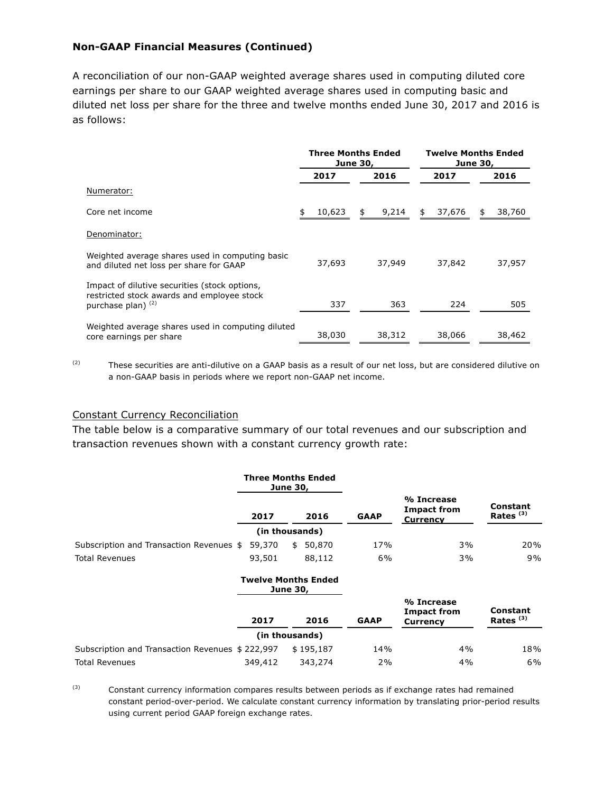# **Non-GAAP Financial Measures (Continued)**

A reconciliation of our non-GAAP weighted average shares used in computing diluted core earnings per share to our GAAP weighted average shares used in computing basic and diluted net loss per share for the three and twelve months ended June 30, 2017 and 2016 is as follows:

|                                                                                                                     |              | <b>Three Months Ended</b><br><b>June 30,</b> | <b>Twelve Months Ended</b><br><b>June 30,</b> |              |  |  |
|---------------------------------------------------------------------------------------------------------------------|--------------|----------------------------------------------|-----------------------------------------------|--------------|--|--|
|                                                                                                                     | 2017         | 2016                                         | 2017                                          | 2016         |  |  |
| Numerator:                                                                                                          |              |                                              |                                               |              |  |  |
| Core net income                                                                                                     | 10,623<br>\$ | 9,214<br>\$                                  | 37,676<br>\$                                  | 38,760<br>\$ |  |  |
| Denominator:                                                                                                        |              |                                              |                                               |              |  |  |
| Weighted average shares used in computing basic<br>and diluted net loss per share for GAAP                          | 37,693       | 37,949                                       | 37,842                                        | 37,957       |  |  |
| Impact of dilutive securities (stock options,<br>restricted stock awards and employee stock<br>purchase plan) $(2)$ | 337          | 363                                          | 224                                           | 505          |  |  |
| Weighted average shares used in computing diluted<br>core earnings per share                                        | 38,030       | 38,312                                       | 38,066                                        | 38,462       |  |  |

 $(2)$  These securities are anti-dilutive on a GAAP basis as a result of our net loss, but are considered dilutive on a non-GAAP basis in periods where we report non-GAAP net income.

## Constant Currency Reconciliation

The table below is a comparative summary of our total revenues and our subscription and transaction revenues shown with a constant currency growth rate:

|                                                 | <b>Three Months Ended</b>  | June 30,        |           |             |                                                     |                                  |
|-------------------------------------------------|----------------------------|-----------------|-----------|-------------|-----------------------------------------------------|----------------------------------|
|                                                 | 2017                       |                 | 2016      | <b>GAAP</b> | % Increase<br><b>Impact from</b><br><b>Currency</b> | Constant<br>Rates <sup>(3)</sup> |
|                                                 | (in thousands)             |                 |           |             |                                                     |                                  |
| Subscription and Transaction Revenues \$        | 59,370                     | \$              | 50,870    | 17%         | 3%                                                  | 20%                              |
| <b>Total Revenues</b>                           | 93,501                     |                 | 88,112    | 6%          | 3%                                                  | 9%                               |
|                                                 | <b>Twelve Months Ended</b> | <b>June 30,</b> |           |             |                                                     |                                  |
|                                                 | 2017                       |                 | 2016      | <b>GAAP</b> | % Increase<br><b>Impact from</b><br><b>Currency</b> | <b>Constant</b><br>Rates $(3)$   |
|                                                 | (in thousands)             |                 |           |             |                                                     |                                  |
| Subscription and Transaction Revenues \$222,997 |                            |                 | \$195,187 | 14%         | 4%                                                  | 18%                              |
| <b>Total Revenues</b>                           | 349,412                    |                 | 343,274   | 2%          | 4%                                                  | 6%                               |

 $(3)$  Constant currency information compares results between periods as if exchange rates had remained constant period-over-period. We calculate constant currency information by translating prior-period results using current period GAAP foreign exchange rates.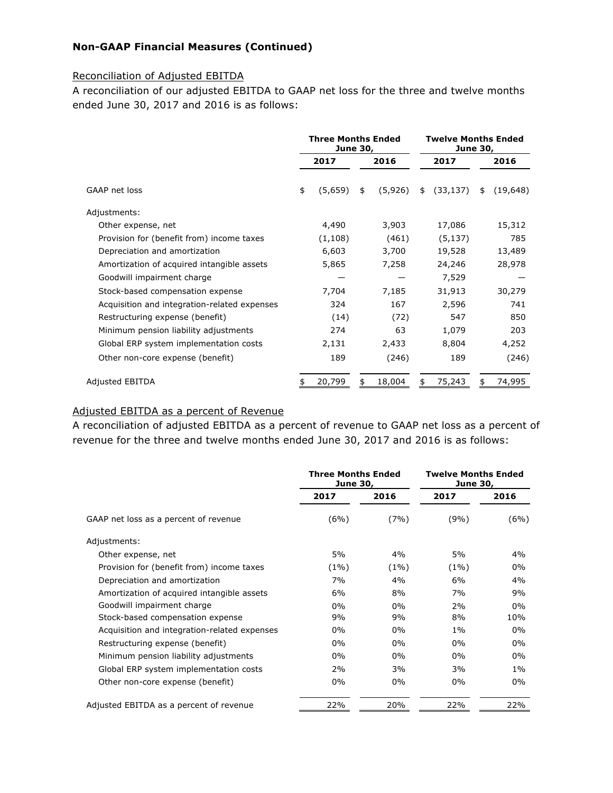# **Non-GAAP Financial Measures (Continued)**

### Reconciliation of Adjusted EBITDA

A reconciliation of our adjusted EBITDA to GAAP net loss for the three and twelve months ended June 30, 2017 and 2016 is as follows:

|                                              | <b>Three Months Ended</b><br>June 30, |          |      |         |      | <b>Twelve Months Ended</b><br><b>June 30,</b> |    |           |  |
|----------------------------------------------|---------------------------------------|----------|------|---------|------|-----------------------------------------------|----|-----------|--|
|                                              | 2017                                  |          | 2016 |         | 2017 |                                               |    | 2016      |  |
| GAAP net loss                                | \$                                    | (5,659)  | \$   | (5,926) | \$   | (33, 137)                                     | \$ | (19, 648) |  |
| Adjustments:                                 |                                       |          |      |         |      |                                               |    |           |  |
| Other expense, net                           |                                       | 4,490    |      | 3,903   |      | 17,086                                        |    | 15,312    |  |
| Provision for (benefit from) income taxes    |                                       | (1, 108) |      | (461)   |      | (5, 137)                                      |    | 785       |  |
| Depreciation and amortization                |                                       | 6,603    |      | 3,700   |      | 19,528                                        |    | 13,489    |  |
| Amortization of acquired intangible assets   |                                       | 5,865    |      | 7,258   |      | 24,246                                        |    | 28,978    |  |
| Goodwill impairment charge                   |                                       |          |      |         |      | 7,529                                         |    |           |  |
| Stock-based compensation expense             |                                       | 7,704    |      | 7,185   |      | 31,913                                        |    | 30,279    |  |
| Acquisition and integration-related expenses |                                       | 324      |      | 167     |      | 2,596                                         |    | 741       |  |
| Restructuring expense (benefit)              |                                       | (14)     |      | (72)    |      | 547                                           |    | 850       |  |
| Minimum pension liability adjustments        |                                       | 274      |      | 63      |      | 1,079                                         |    | 203       |  |
| Global ERP system implementation costs       |                                       | 2,131    |      | 2,433   |      | 8,804                                         |    | 4,252     |  |
| Other non-core expense (benefit)             |                                       | 189      |      | (246)   |      | 189                                           |    | (246)     |  |
| Adjusted EBITDA                              |                                       | 20,799   | \$   | 18,004  | \$   | 75,243                                        | \$ | 74,995    |  |

## Adjusted EBITDA as a percent of Revenue

A reconciliation of adjusted EBITDA as a percent of revenue to GAAP net loss as a percent of revenue for the three and twelve months ended June 30, 2017 and 2016 is as follows:

|                                              | <b>Three Months Ended</b><br><b>June 30,</b> |         | <b>Twelve Months Ended</b><br><b>June 30,</b> |       |  |
|----------------------------------------------|----------------------------------------------|---------|-----------------------------------------------|-------|--|
| 2017                                         |                                              | 2016    | 2017                                          | 2016  |  |
| GAAP net loss as a percent of revenue        | (6%)                                         | (7%)    | (9%)                                          | (6%)  |  |
| Adjustments:                                 |                                              |         |                                               |       |  |
| Other expense, net                           | 5%                                           | 4%      | 5%                                            | 4%    |  |
| Provision for (benefit from) income taxes    | $(1\%)$                                      | $(1\%)$ | $(1\%)$                                       | 0%    |  |
| Depreciation and amortization                | 7%                                           | 4%      | 6%                                            | 4%    |  |
| Amortization of acquired intangible assets   | 6%                                           | 8%      | 7%                                            | 9%    |  |
| Goodwill impairment charge                   | $0\%$                                        | 0%      | 2%                                            | $0\%$ |  |
| Stock-based compensation expense             | 9%                                           | 9%      | 8%                                            | 10%   |  |
| Acquisition and integration-related expenses | 0%                                           | 0%      | $1\%$                                         | $0\%$ |  |
| Restructuring expense (benefit)              | $0\%$                                        | 0%      | $0\%$                                         | $0\%$ |  |
| Minimum pension liability adjustments        | 0%                                           | 0%      | 0%                                            | 0%    |  |
| Global ERP system implementation costs       | 2%                                           | 3%      | 3%                                            | $1\%$ |  |
| Other non-core expense (benefit)             | 0%                                           | 0%      | 0%                                            | $0\%$ |  |
| Adjusted EBITDA as a percent of revenue      | 22%                                          | 20%     | 22%                                           | 22%   |  |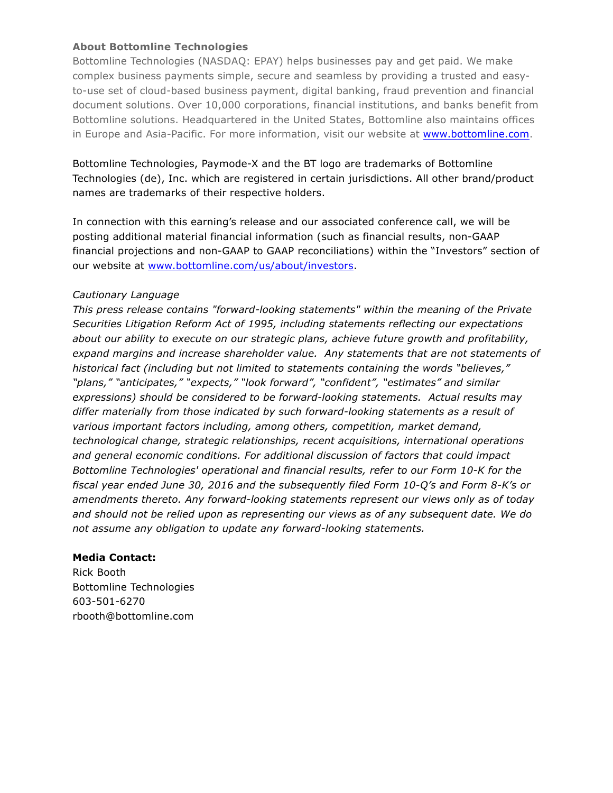## **About Bottomline Technologies**

Bottomline Technologies (NASDAQ: EPAY) helps businesses pay and get paid. We make complex business payments simple, secure and seamless by providing a trusted and easyto-use set of cloud-based business payment, digital banking, fraud prevention and financial document solutions. Over 10,000 corporations, financial institutions, and banks benefit from Bottomline solutions. Headquartered in the United States, Bottomline also maintains offices in Europe and Asia-Pacific. For more information, visit our website at www.bottomline.com.

Bottomline Technologies, Paymode-X and the BT logo are trademarks of Bottomline Technologies (de), Inc. which are registered in certain jurisdictions. All other brand/product names are trademarks of their respective holders.

In connection with this earning's release and our associated conference call, we will be posting additional material financial information (such as financial results, non-GAAP financial projections and non-GAAP to GAAP reconciliations) within the "Investors" section of our website at www.bottomline.com/us/about/investors.

## *Cautionary Language*

*This press release contains "forward-looking statements" within the meaning of the Private Securities Litigation Reform Act of 1995, including statements reflecting our expectations about our ability to execute on our strategic plans, achieve future growth and profitability, expand margins and increase shareholder value. Any statements that are not statements of historical fact (including but not limited to statements containing the words "believes," "plans," "anticipates," "expects," "look forward", "confident", "estimates" and similar expressions) should be considered to be forward-looking statements. Actual results may differ materially from those indicated by such forward-looking statements as a result of various important factors including, among others, competition, market demand, technological change, strategic relationships, recent acquisitions, international operations and general economic conditions. For additional discussion of factors that could impact Bottomline Technologies' operational and financial results, refer to our Form 10-K for the fiscal year ended June 30, 2016 and the subsequently filed Form 10-Q's and Form 8-K's or amendments thereto. Any forward-looking statements represent our views only as of today and should not be relied upon as representing our views as of any subsequent date. We do not assume any obligation to update any forward-looking statements.*

## **Media Contact:**

Rick Booth Bottomline Technologies 603-501-6270 rbooth@bottomline.com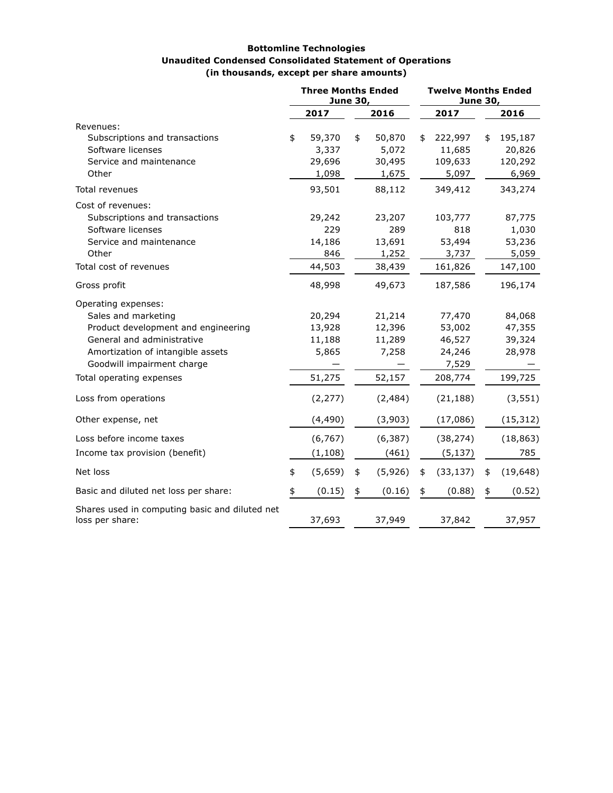### **Bottomline Technologies Unaudited Condensed Consolidated Statement of Operations (in thousands, except per share amounts)**

|                                                                                                                                                                                    | <b>Three Months Ended</b><br><b>June 30,</b> |    |                                     | <b>Twelve Months Ended</b><br><b>June 30,</b> |                                               |    |                                       |
|------------------------------------------------------------------------------------------------------------------------------------------------------------------------------------|----------------------------------------------|----|-------------------------------------|-----------------------------------------------|-----------------------------------------------|----|---------------------------------------|
|                                                                                                                                                                                    | 2017                                         |    | 2016                                |                                               | 2017                                          |    | 2016                                  |
| Revenues:<br>Subscriptions and transactions<br>Software licenses<br>Service and maintenance<br>Other                                                                               | \$<br>59,370<br>3,337<br>29,696<br>1,098     | \$ | 50,870<br>5,072<br>30,495<br>1,675  | \$                                            | 222,997<br>11,685<br>109,633<br>5,097         | \$ | 195,187<br>20,826<br>120,292<br>6,969 |
| Total revenues                                                                                                                                                                     | 93,501                                       |    | 88,112                              |                                               | 349,412                                       |    | 343,274                               |
| Cost of revenues:<br>Subscriptions and transactions<br>Software licenses<br>Service and maintenance<br>Other                                                                       | 29,242<br>229<br>14,186<br>846               |    | 23,207<br>289<br>13,691<br>1,252    |                                               | 103,777<br>818<br>53,494<br>3,737             |    | 87,775<br>1,030<br>53,236<br>5,059    |
| Total cost of revenues                                                                                                                                                             | 44,503                                       |    | 38,439                              |                                               | 161,826                                       |    | 147,100                               |
| Gross profit                                                                                                                                                                       | 48,998                                       |    | 49,673                              |                                               | 187,586                                       |    | 196,174                               |
| Operating expenses:<br>Sales and marketing<br>Product development and engineering<br>General and administrative<br>Amortization of intangible assets<br>Goodwill impairment charge | 20,294<br>13,928<br>11,188<br>5,865          |    | 21,214<br>12,396<br>11,289<br>7,258 |                                               | 77,470<br>53,002<br>46,527<br>24,246<br>7,529 |    | 84,068<br>47,355<br>39,324<br>28,978  |
| Total operating expenses                                                                                                                                                           | 51,275                                       |    | 52,157                              |                                               | 208,774                                       |    | 199,725                               |
| Loss from operations                                                                                                                                                               | (2, 277)                                     |    | (2, 484)                            |                                               | (21, 188)                                     |    | (3, 551)                              |
| Other expense, net                                                                                                                                                                 | (4, 490)                                     |    | (3,903)                             |                                               | (17,086)                                      |    | (15, 312)                             |
| Loss before income taxes<br>Income tax provision (benefit)                                                                                                                         | (6, 767)<br>(1, 108)                         |    | (6, 387)<br>(461)                   |                                               | (38, 274)<br>(5, 137)                         |    | (18, 863)<br>785                      |
| Net loss                                                                                                                                                                           | \$<br>(5,659)                                | \$ | (5,926)                             | \$                                            | (33, 137)                                     | \$ | (19, 648)                             |
| Basic and diluted net loss per share:                                                                                                                                              | \$<br>(0.15)                                 | \$ | (0.16)                              | \$                                            | (0.88)                                        | \$ | (0.52)                                |
| Shares used in computing basic and diluted net<br>loss per share:                                                                                                                  | 37,693                                       |    | 37,949                              |                                               | 37,842                                        |    | 37,957                                |